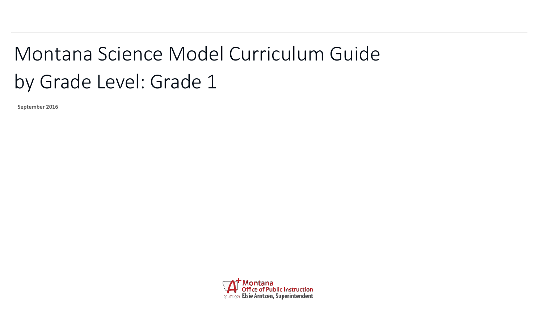## <span id="page-0-0"></span>Montana Science Model Curriculum Guide by Grade Level: Grade 1

**September 2016**

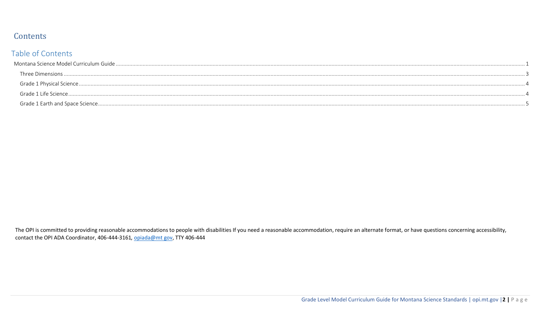## Contents

## Table of Contents

The OPI is committed to providing reasonable accommodations to people with disabilities If you need a reasonable accommodation, require an alternate format, or have questions concerning accessibility, contact the OPI ADA Coordinator, 406-444-3161, opiada@mt gov, TTY 406-444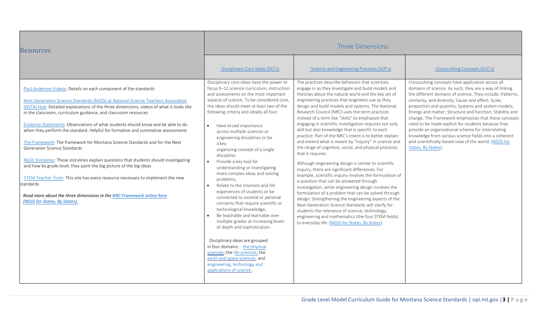<span id="page-2-0"></span>

| <b>Resources</b>                                                                                                                                                                                                                                                                                                                                                                                                                                                                                                                                                                                                                                                                                                                                                                                                                                                                                                                                                                    | <b>Three Dimensions</b>                                                                                                                                                                                                                                                                                                                                                                                                                                                                                                                                                                                                                                                                                                                                                                                                                                                                                                                                                                                                                       |                                                                                                                                                                                                                                                                                                                                                                                                                                                                                                                                                                                                                                                                                                                                                                                                                                                                                                                                                                                                                                                                                                                                                                                                                                                                                                         |                                                                                                                                                                                                                                                                                                                                                                                                                                                                                                                                                                                                                                                                 |
|-------------------------------------------------------------------------------------------------------------------------------------------------------------------------------------------------------------------------------------------------------------------------------------------------------------------------------------------------------------------------------------------------------------------------------------------------------------------------------------------------------------------------------------------------------------------------------------------------------------------------------------------------------------------------------------------------------------------------------------------------------------------------------------------------------------------------------------------------------------------------------------------------------------------------------------------------------------------------------------|-----------------------------------------------------------------------------------------------------------------------------------------------------------------------------------------------------------------------------------------------------------------------------------------------------------------------------------------------------------------------------------------------------------------------------------------------------------------------------------------------------------------------------------------------------------------------------------------------------------------------------------------------------------------------------------------------------------------------------------------------------------------------------------------------------------------------------------------------------------------------------------------------------------------------------------------------------------------------------------------------------------------------------------------------|---------------------------------------------------------------------------------------------------------------------------------------------------------------------------------------------------------------------------------------------------------------------------------------------------------------------------------------------------------------------------------------------------------------------------------------------------------------------------------------------------------------------------------------------------------------------------------------------------------------------------------------------------------------------------------------------------------------------------------------------------------------------------------------------------------------------------------------------------------------------------------------------------------------------------------------------------------------------------------------------------------------------------------------------------------------------------------------------------------------------------------------------------------------------------------------------------------------------------------------------------------------------------------------------------------|-----------------------------------------------------------------------------------------------------------------------------------------------------------------------------------------------------------------------------------------------------------------------------------------------------------------------------------------------------------------------------------------------------------------------------------------------------------------------------------------------------------------------------------------------------------------------------------------------------------------------------------------------------------------|
|                                                                                                                                                                                                                                                                                                                                                                                                                                                                                                                                                                                                                                                                                                                                                                                                                                                                                                                                                                                     | Disciplinary Core Ideas (DCI's)                                                                                                                                                                                                                                                                                                                                                                                                                                                                                                                                                                                                                                                                                                                                                                                                                                                                                                                                                                                                               | Science and Engineering Practices (SEP's)                                                                                                                                                                                                                                                                                                                                                                                                                                                                                                                                                                                                                                                                                                                                                                                                                                                                                                                                                                                                                                                                                                                                                                                                                                                               | Crosscutting Concepts (CCC's)                                                                                                                                                                                                                                                                                                                                                                                                                                                                                                                                                                                                                                   |
| Paul Anderson Videos: Details on each component of the standards<br>Next Generation Science Standards (NGSS) at National Science Teachers Association<br>(NSTA) Hub: Detailed explanations of the three dimensions, videos of what it looks like<br>in the classroom, curriculum guidance, and classroom resources<br>Evidence Statements: Observations of what students should know and be able to do<br>when they perform the standard. Helpful for formative and summative assessments<br>The Framework: The framework for Montana Science Standards and for the Next<br>Generation Science Standards<br>NGSS Storylines: These storylines explain questions that students should investigating<br>and how by grade level; they paint the big picture of the big ideas<br>STEM Teacher Tools: This site has every resource necessary to implement the new<br>standards<br>Read more about the three dimensions in the NRC Framework online here<br>(NGSS for States, By States). | Disciplinary core ideas have the power to<br>focus K-12 science curriculum, instruction<br>and assessments on the most important<br>aspects of science. To be considered core,<br>the ideas should meet at least two of the<br>following criteria and ideally all four:<br>Have broad importance<br>across multiple sciences or<br>engineering disciplines or be<br>a key<br>organizing concept of a single<br>discipline;<br>Provide a key tool for<br>$\bullet$<br>understanding or investigating<br>more complex ideas and solving<br>problems;<br>Relate to the interests and life<br>experiences of students or be<br>connected to societal or personal<br>concerns that require scientific or<br>technological knowledge;<br>Be teachable and learnable over<br>multiple grades at increasing levels<br>of depth and sophistication.<br>Disciplinary ideas are grouped<br>in four domains: the physical<br>sciences; the life sciences; the<br>earth and space sciences; and<br>engineering, technology and<br>applications of science. | The practices describe behaviors that scientists<br>engage in as they investigate and build models and<br>theories about the natural world and the key set of<br>engineering practices that engineers use as they<br>design and build models and systems. The National<br>Research Council (NRC) uses the term practices<br>instead of a term like "skills" to emphasize that<br>engaging in scientific investigation requires not only<br>skill but also knowledge that is specific to each<br>practice. Part of the NRC's intent is to better explain<br>and extend what is meant by "inquiry" in science and<br>the range of cognitive, social, and physical practices<br>that it requires.<br>Although engineering design is similar to scientific<br>inquiry, there are significant differences. For<br>example, scientific inquiry involves the formulation of<br>a question that can be answered through<br>investigation, while engineering design involves the<br>formulation of a problem that can be solved through<br>design. Strengthening the engineering aspects of the<br>Next Generation Science Standards will clarify for<br>students the relevance of science, technology,<br>engineering and mathematics (the four STEM fields)<br>to everyday life. (NGSS for States, By States). | Crosscutting concepts have application across all<br>domains of science. As such, they are a way of linking<br>the different domains of science. They include: Patterns,<br>similarity, and diversity; Cause and effect; Scale,<br>proportion and quantity; Systems and system models;<br>Energy and matter; Structure and function; Stability and<br>change. The Framework emphasizes that these concepts<br>need to be made explicit for students because they<br>provide an organizational schema for interrelating<br>knowledge from various science fields into a coherent<br>and scientifically-based view of the world. (NGSS for<br>States, By States). |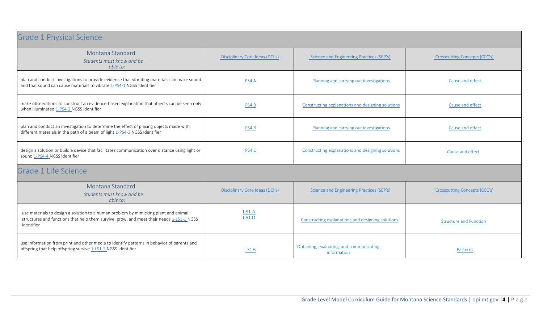<span id="page-3-1"></span><span id="page-3-0"></span>

| <b>Grade 1 Physical Science</b>                                                                                                                                                               |                                 |                                                         |                               |
|-----------------------------------------------------------------------------------------------------------------------------------------------------------------------------------------------|---------------------------------|---------------------------------------------------------|-------------------------------|
| Montana Standard<br>Students must know and be<br>able to:                                                                                                                                     | Disciplinary Core Ideas (DCI's) | Science and Engineering Practices (SEP's)               | Crosscutting Concepts (CCC's) |
| plan and conduct investigations to provide evidence that vibrating materials can make sound<br>and that sound can cause materials to vibrate 1-PS4-1 NGSS Identifier                          | PS4 A                           | Planning and carrying out investigations                | Cause and effect              |
| make observations to construct an evidence-based explanation that objects can be seen only<br>when illuminated 1-PS4-2 NGSS Identifier                                                        | PS4 <sub>B</sub>                | Constructing explanations and designing solutions       | Cause and effect              |
| plan and conduct an investigation to determine the effect of placing objects made with<br>different materials in the path of a beam of light 1-PS4-3 NGSS Identifier                          | PS4 <sub>B</sub>                | Planning and carrying out investigations                | Cause and effect              |
| design a solution or build a device that facilitates communication over distance using light or<br>sound 1-PS4-4 NGSS Identifier                                                              | PS4 C                           | Constructing explanations and designing solutions       | Cause and effect              |
| Grade 1 Life Science                                                                                                                                                                          |                                 |                                                         |                               |
| Montana Standard<br>Students must know and be<br>able to:                                                                                                                                     | Disciplinary Core Ideas (DCI's) | Science and Engineering Practices (SEP's)               | Crosscutting Concepts (CCC's) |
| use materials to design a solution to a human problem by mimicking plant and animal<br>structures and functions that help them survive, grow, and meet their needs 1-LS1-1 NGSS<br>Identifier | LS1A<br>LS1 D                   | Constructing explanations and designing solutions       | <b>Structure and Function</b> |
| use information from print and other media to identify patterns in behavior of parents and<br>offspring that help offspring survive 1-LS1-2 NGSS Identifier                                   | LS1 <sub>B</sub>                | Obtaining, evaluating, and communicating<br>information | Patterns                      |